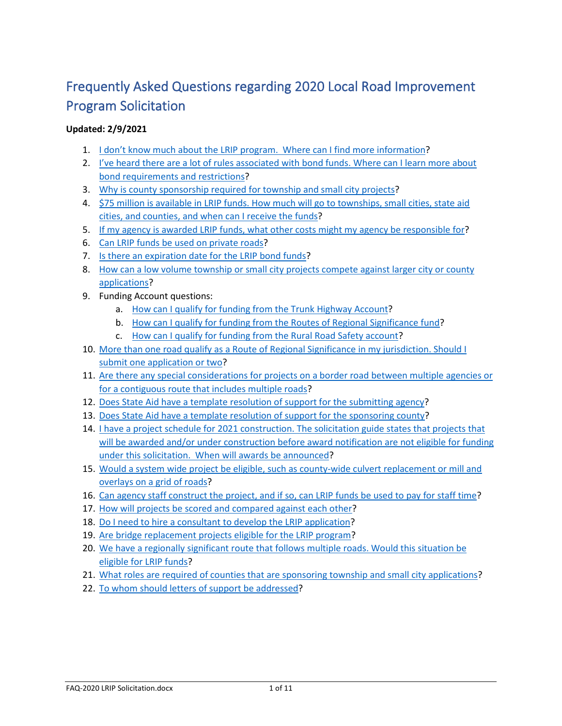# Frequently Asked Questions regarding 2020 Local Road Improvement Program Solicitation

#### **Updated: 2/9/2021**

- 1. [I don't know much about the LRIP program. Where can I find more information?](#page-1-0)
- 2. [I've heard there are a lot of rules associated with bond funds. Where can I learn more about](#page-1-1)  [bond requirements and restrictions?](#page-1-1)
- 3. [Why is county sponsorship required for township and small city projects?](#page-1-2)
- 4. [\\$75 million is available in LRIP funds. How much will go to townships, small cities, state aid](#page-2-0)  [cities, and counties, and when can I receive the funds?](#page-2-0)
- 5. [If my agency is awarded LRIP funds, what other costs might my agency be responsible for?](#page-2-1)
- 6. [Can LRIP funds be used on private roads?](#page-2-2)
- 7. [Is there an expiration date for the LRIP bond funds?](#page-2-3)
- 8. [How can a low volume township or small city projects](#page-3-0) compete against larger city or county [applications?](#page-3-0)
- 9. Funding Account questions:
	- a. [How can I qualify for funding from the Trunk Highway Account?](#page-3-1)
	- b. [How can I qualify for funding from the Routes of Regional Significance fund?](#page-3-2)
	- c. [How can I qualify for funding from the Rural Road Safety account?](#page-4-0)
- 10. More than one road qualify as a Route of Regional Significance in my jurisdiction. Should I [submit one application or two?](#page-4-1)
- 11. [Are there any special considerations for projects on a border road between multiple agencies or](#page-4-2)  [for a contiguous route that includes multiple roads?](#page-4-2)
- 12. Does State Aid [have a template resolution of support for the submitting agency?](#page-5-0)
- 13. Does [State Aid have a template resolution of support for the sponsoring county?](#page-6-0)
- 14. [I have a project schedule for 2021 construction. The solicitation guide states that projects that](#page-7-0)  [will be awarded and/or under construction before award notification are not eligible for funding](#page-7-0)  [under this solicitation. When will awards be announced?](#page-7-0)
- 15. [Would a system wide project be eligible, such as county-wide culvert replacement or mill and](#page-8-0)  [overlays on a grid of roads?](#page-8-0)
- 16. [Can agency staff construct the project, and if so, can LRIP funds be used to pay for staff time?](#page-8-1)
- 17. [How will projects be scored and compared against each other?](#page-8-2)
- 18. [Do I need to hire a consultant to develop the LRIP application?](#page-8-3)
- 19. [Are bridge replacement projects eligible for the LRIP program?](#page-9-0)
- 20. [We have a regionally significant route that follows multiple roads. Would this situation be](#page-9-1)  [eligible for LRIP funds?](#page-9-1)
- 21. [What roles are required of counties that are sponsoring township and small city applications?](#page-9-2)
- 22. [To whom should letters of support be addressed?](#page-10-0)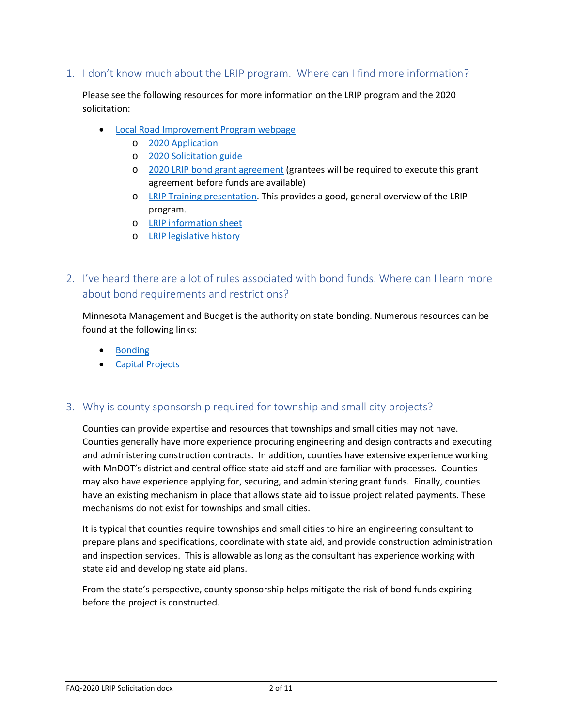### <span id="page-1-0"></span>1. I don't know much about the LRIP program. Where can I find more information?

Please see the following resources for more information on the LRIP program and the 2020 solicitation:

- [Local Road Improvement Program webpage](http://www.dot.state.mn.us/stateaid/lrip.html)
	- o [2020 Application](http://www.dot.state.mn.us/stateaid/lrip/2020/2020-lrip-application-final-reader.pdf)
	- o [2020 Solicitation guide](http://www.dot.state.mn.us/stateaid/lrip/2020/2020-lrip-solicitation-guide.pdf)
	- o [2020 LRIP bond grant agreement](http://www.dot.state.mn.us/stateaid/lrip/2020/LRIP-2020-bond-agreement.docx) (grantees will be required to execute this grant agreement before funds are available)
	- o [LRIP Training presentation.](http://www.dot.state.mn.us/stateaid/training/lrip.pptx) This provides a good, general overview of the LRIP program.
	- o [LRIP information sheet](http://www.dot.state.mn.us/stateaid/admin/info/lrip.pdf)
	- o [LRIP legislative history](http://www.dot.state.mn.us/stateaid/lrip/general/lrip-legislative-history.pdf)

# <span id="page-1-1"></span>2. I've heard there are a lot of rules associated with bond funds. Where can I learn more about bond requirements and restrictions?

Minnesota Management and Budget is the authority on state bonding. Numerous resources can be found at the following links:

- [Bonding](https://mn.gov/mmb/debt-management/bonding/)
- [Capital Projects](https://mn.gov/mmb/debt-management/capital-projects/)

## <span id="page-1-2"></span>3. Why is county sponsorship required for township and small city projects?

Counties can provide expertise and resources that townships and small cities may not have. Counties generally have more experience procuring engineering and design contracts and executing and administering construction contracts. In addition, counties have extensive experience working with MnDOT's district and central office state aid staff and are familiar with processes. Counties may also have experience applying for, securing, and administering grant funds. Finally, counties have an existing mechanism in place that allows state aid to issue project related payments. These mechanisms do not exist for townships and small cities.

It is typical that counties require townships and small cities to hire an engineering consultant to prepare plans and specifications, coordinate with state aid, and provide construction administration and inspection services. This is allowable as long as the consultant has experience working with state aid and developing state aid plans.

From the state's perspective, county sponsorship helps mitigate the risk of bond funds expiring before the project is constructed.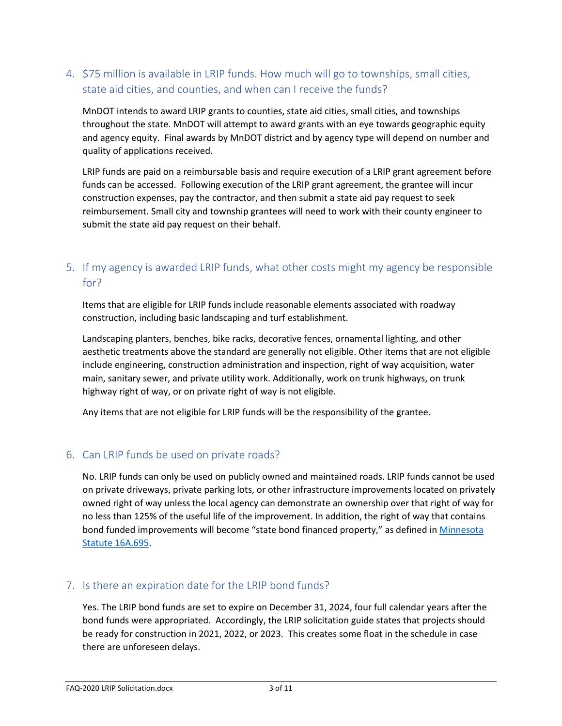# <span id="page-2-0"></span>4. \$75 million is available in LRIP funds. How much will go to townships, small cities, state aid cities, and counties, and when can I receive the funds?

MnDOT intends to award LRIP grants to counties, state aid cities, small cities, and townships throughout the state. MnDOT will attempt to award grants with an eye towards geographic equity and agency equity. Final awards by MnDOT district and by agency type will depend on number and quality of applications received.

LRIP funds are paid on a reimbursable basis and require execution of a LRIP grant agreement before funds can be accessed. Following execution of the LRIP grant agreement, the grantee will incur construction expenses, pay the contractor, and then submit a state aid pay request to seek reimbursement. Small city and township grantees will need to work with their county engineer to submit the state aid pay request on their behalf.

# <span id="page-2-1"></span>5. If my agency is awarded LRIP funds, what other costs might my agency be responsible for?

Items that are eligible for LRIP funds include reasonable elements associated with roadway construction, including basic landscaping and turf establishment.

Landscaping planters, benches, bike racks, decorative fences, ornamental lighting, and other aesthetic treatments above the standard are generally not eligible. Other items that are not eligible include engineering, construction administration and inspection, right of way acquisition, water main, sanitary sewer, and private utility work. Additionally, work on trunk highways, on trunk highway right of way, or on private right of way is not eligible.

Any items that are not eligible for LRIP funds will be the responsibility of the grantee.

#### <span id="page-2-2"></span>6. Can LRIP funds be used on private roads?

No. LRIP funds can only be used on publicly owned and maintained roads. LRIP funds cannot be used on private driveways, private parking lots, or other infrastructure improvements located on privately owned right of way unless the local agency can demonstrate an ownership over that right of way for no less than 125% of the useful life of the improvement. In addition, the right of way that contains bond funded improvements will become "state bond financed property," as defined in [Minnesota](https://www.revisor.mn.gov/statutes/cite/16A.695)  [Statute 16A.695.](https://www.revisor.mn.gov/statutes/cite/16A.695)

#### <span id="page-2-3"></span>7. Is there an expiration date for the LRIP bond funds?

Yes. The LRIP bond funds are set to expire on December 31, 2024, four full calendar years after the bond funds were appropriated. Accordingly, the LRIP solicitation guide states that projects should be ready for construction in 2021, 2022, or 2023. This creates some float in the schedule in case there are unforeseen delays.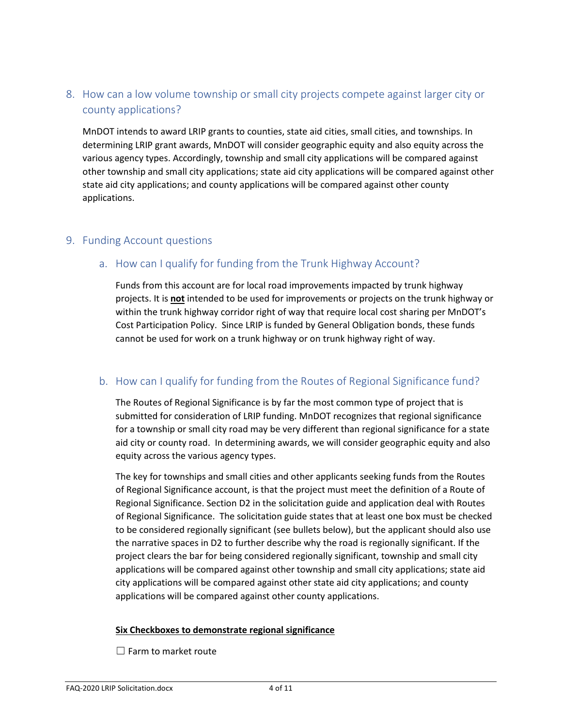# <span id="page-3-0"></span>8. How can a low volume township or small city projects compete against larger city or county applications?

MnDOT intends to award LRIP grants to counties, state aid cities, small cities, and townships. In determining LRIP grant awards, MnDOT will consider geographic equity and also equity across the various agency types. Accordingly, township and small city applications will be compared against other township and small city applications; state aid city applications will be compared against other state aid city applications; and county applications will be compared against other county applications.

#### <span id="page-3-1"></span>9. Funding Account questions

### a. How can I qualify for funding from the Trunk Highway Account?

Funds from this account are for local road improvements impacted by trunk highway projects. It is **not** intended to be used for improvements or projects on the trunk highway or within the trunk highway corridor right of way that require local cost sharing per MnDOT's Cost Participation Policy. Since LRIP is funded by General Obligation bonds, these funds cannot be used for work on a trunk highway or on trunk highway right of way.

#### <span id="page-3-2"></span>b. How can I qualify for funding from the Routes of Regional Significance fund?

The Routes of Regional Significance is by far the most common type of project that is submitted for consideration of LRIP funding. MnDOT recognizes that regional significance for a township or small city road may be very different than regional significance for a state aid city or county road. In determining awards, we will consider geographic equity and also equity across the various agency types.

The key for townships and small cities and other applicants seeking funds from the Routes of Regional Significance account, is that the project must meet the definition of a Route of Regional Significance. Section D2 in the solicitation guide and application deal with Routes of Regional Significance. The solicitation guide states that at least one box must be checked to be considered regionally significant (see bullets below), but the applicant should also use the narrative spaces in D2 to further describe why the road is regionally significant. If the project clears the bar for being considered regionally significant, township and small city applications will be compared against other township and small city applications; state aid city applications will be compared against other state aid city applications; and county applications will be compared against other county applications.

#### **Six Checkboxes to demonstrate regional significance**

 $\Box$  Farm to market route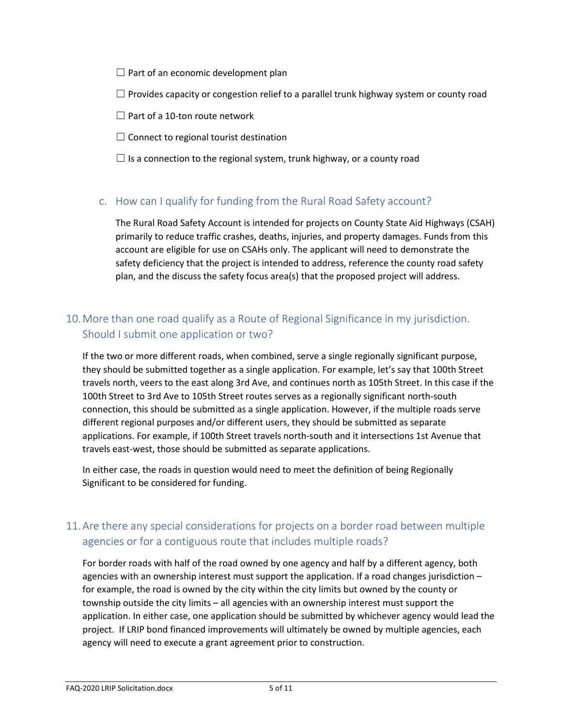$\Box$  Part of an economic development plan

 $\Box$  Provides capacity or congestion relief to a parallel trunk highway system or county road

- $\Box$  Part of a 10-ton route network
- $\Box$  Connect to regional tourist destination
- $\Box$  Is a connection to the regional system, trunk highway, or a county road

#### <span id="page-4-0"></span>c. How can I qualify for funding from the Rural Road Safety account?

The Rural Road Safety Account is intended for projects on County State Aid Highways (CSAH) primarily to reduce traffic crashes, deaths, injuries, and property damages. Funds from this account are eligible for use on CSAHs only. The applicant will need to demonstrate the safety deficiency that the project is intended to address, reference the county road safety plan, and the discuss the safety focus area(s) that the proposed project will address.

# <span id="page-4-1"></span>10.More than one road qualify as a Route of Regional Significance in my jurisdiction. Should I submit one application or two?

If the two or more different roads, when combined, serve a single regionally significant purpose, they should be submitted together as a single application. For example, let's say that 100th Street travels north, veers to the east along 3rd Ave, and continues north as 105th Street. In this case if the 100th Street to 3rd Ave to 105th Street routes serves as a regionally significant north-south connection, this should be submitted as a single application. However, if the multiple roads serve different regional purposes and/or different users, they should be submitted as separate applications. For example, if 100th Street travels north-south and it intersections 1st Avenue that travels east-west, those should be submitted as separate applications.

In either case, the roads in question would need to meet the definition of being Regionally Significant to be considered for funding.

# <span id="page-4-2"></span>11.Are there any special considerations for projects on a border road between multiple agencies or for a contiguous route that includes multiple roads?

For border roads with half of the road owned by one agency and half by a different agency, both agencies with an ownership interest must support the application. If a road changes jurisdiction – for example, the road is owned by the city within the city limits but owned by the county or township outside the city limits – all agencies with an ownership interest must support the application. In either case, one application should be submitted by whichever agency would lead the project. If LRIP bond financed improvements will ultimately be owned by multiple agencies, each agency will need to execute a grant agreement prior to construction.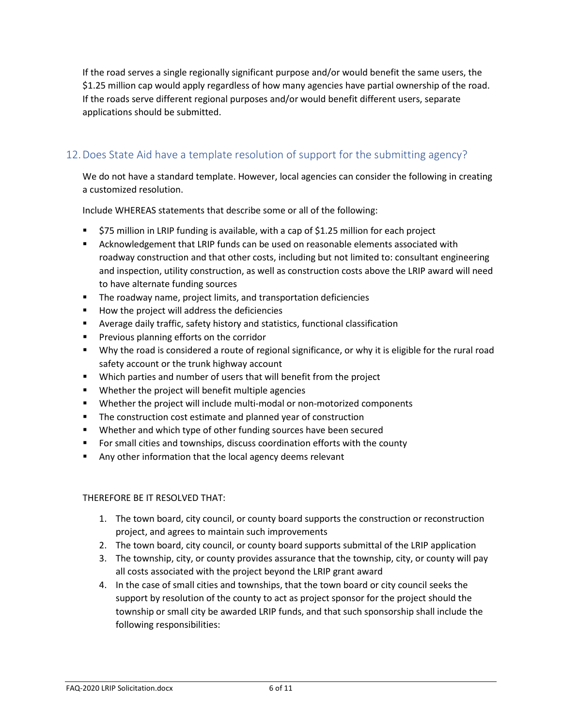If the road serves a single regionally significant purpose and/or would benefit the same users, the \$1.25 million cap would apply regardless of how many agencies have partial ownership of the road. If the roads serve different regional purposes and/or would benefit different users, separate applications should be submitted.

# <span id="page-5-0"></span>12.Does State Aid have a template resolution of support for the submitting agency?

We do not have a standard template. However, local agencies can consider the following in creating a customized resolution.

Include WHEREAS statements that describe some or all of the following:

- \$75 million in LRIP funding is available, with a cap of \$1.25 million for each project
- Acknowledgement that LRIP funds can be used on reasonable elements associated with roadway construction and that other costs, including but not limited to: consultant engineering and inspection, utility construction, as well as construction costs above the LRIP award will need to have alternate funding sources
- **The roadway name, project limits, and transportation deficiencies**
- How the project will address the deficiencies
- Average daily traffic, safety history and statistics, functional classification
- **Previous planning efforts on the corridor**
- Why the road is considered a route of regional significance, or why it is eligible for the rural road safety account or the trunk highway account
- Which parties and number of users that will benefit from the project
- **•** Whether the project will benefit multiple agencies
- Whether the project will include multi-modal or non-motorized components
- **The construction cost estimate and planned year of construction**
- Whether and which type of other funding sources have been secured
- **FIC 5** For small cities and townships, discuss coordination efforts with the county
- Any other information that the local agency deems relevant

#### THEREFORE BE IT RESOLVED THAT:

- 1. The town board, city council, or county board supports the construction or reconstruction project, and agrees to maintain such improvements
- 2. The town board, city council, or county board supports submittal of the LRIP application
- 3. The township, city, or county provides assurance that the township, city, or county will pay all costs associated with the project beyond the LRIP grant award
- 4. In the case of small cities and townships, that the town board or city council seeks the support by resolution of the county to act as project sponsor for the project should the township or small city be awarded LRIP funds, and that such sponsorship shall include the following responsibilities: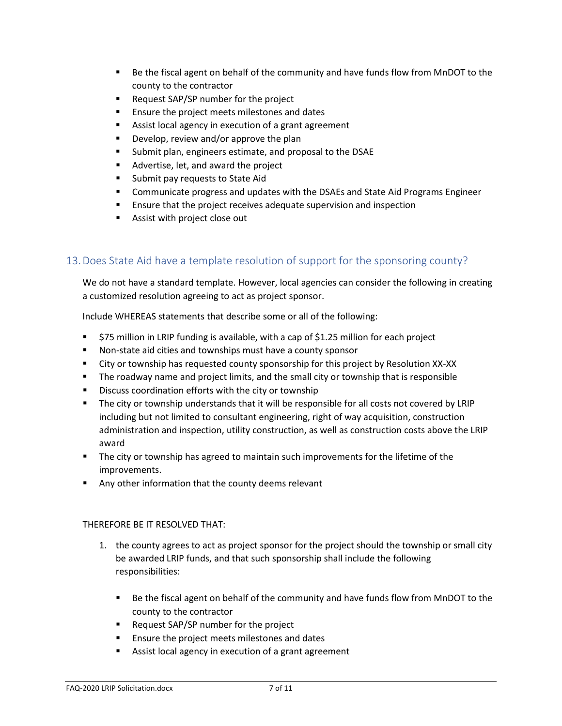- Be the fiscal agent on behalf of the community and have funds flow from MnDOT to the county to the contractor
- **Request SAP/SP number for the project**
- **Ensure the project meets milestones and dates**
- Assist local agency in execution of a grant agreement
- **Develop, review and/or approve the plan**
- Submit plan, engineers estimate, and proposal to the DSAE
- Advertise, let, and award the project
- **Submit pay requests to State Aid**
- Communicate progress and updates with the DSAEs and State Aid Programs Engineer
- **Ensure that the project receives adequate supervision and inspection**
- **Assist with project close out**

#### <span id="page-6-0"></span>13.Does State Aid have a template resolution of support for the sponsoring county?

We do not have a standard template. However, local agencies can consider the following in creating a customized resolution agreeing to act as project sponsor.

Include WHEREAS statements that describe some or all of the following:

- \$75 million in LRIP funding is available, with a cap of \$1.25 million for each project
- Non-state aid cities and townships must have a county sponsor
- City or township has requested county sponsorship for this project by Resolution XX-XX
- **The roadway name and project limits, and the small city or township that is responsible**
- **Discuss coordination efforts with the city or township**
- The city or township understands that it will be responsible for all costs not covered by LRIP including but not limited to consultant engineering, right of way acquisition, construction administration and inspection, utility construction, as well as construction costs above the LRIP award
- The city or township has agreed to maintain such improvements for the lifetime of the improvements.
- Any other information that the county deems relevant

#### THEREFORE BE IT RESOLVED THAT:

- 1. the county agrees to act as project sponsor for the project should the township or small city be awarded LRIP funds, and that such sponsorship shall include the following responsibilities:
	- **Be the fiscal agent on behalf of the community and have funds flow from MnDOT to the** county to the contractor
	- **Request SAP/SP number for the project**
	- **Ensure the project meets milestones and dates**
	- Assist local agency in execution of a grant agreement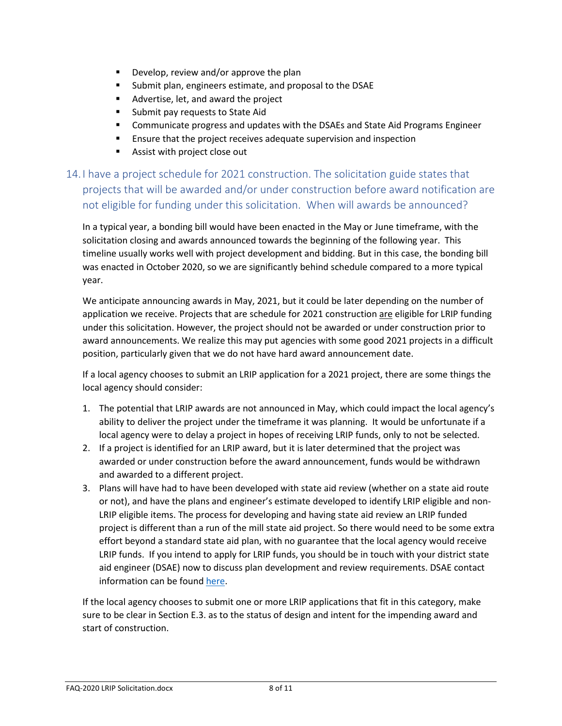- **Develop, review and/or approve the plan**
- Submit plan, engineers estimate, and proposal to the DSAE
- Advertise, let, and award the project
- **Submit pay requests to State Aid**
- Communicate progress and updates with the DSAEs and State Aid Programs Engineer
- Ensure that the project receives adequate supervision and inspection
- **Assist with project close out**

<span id="page-7-0"></span>14. I have a project schedule for 2021 construction. The solicitation guide states that projects that will be awarded and/or under construction before award notification are not eligible for funding under this solicitation. When will awards be announced?

In a typical year, a bonding bill would have been enacted in the May or June timeframe, with the solicitation closing and awards announced towards the beginning of the following year. This timeline usually works well with project development and bidding. But in this case, the bonding bill was enacted in October 2020, so we are significantly behind schedule compared to a more typical year.

We anticipate announcing awards in May, 2021, but it could be later depending on the number of application we receive. Projects that are schedule for 2021 construction are eligible for LRIP funding under this solicitation. However, the project should not be awarded or under construction prior to award announcements. We realize this may put agencies with some good 2021 projects in a difficult position, particularly given that we do not have hard award announcement date.

If a local agency chooses to submit an LRIP application for a 2021 project, there are some things the local agency should consider:

- 1. The potential that LRIP awards are not announced in May, which could impact the local agency's ability to deliver the project under the timeframe it was planning. It would be unfortunate if a local agency were to delay a project in hopes of receiving LRIP funds, only to not be selected.
- 2. If a project is identified for an LRIP award, but it is later determined that the project was awarded or under construction before the award announcement, funds would be withdrawn and awarded to a different project.
- 3. Plans will have had to have been developed with state aid review (whether on a state aid route or not), and have the plans and engineer's estimate developed to identify LRIP eligible and non-LRIP eligible items. The process for developing and having state aid review an LRIP funded project is different than a run of the mill state aid project. So there would need to be some extra effort beyond a standard state aid plan, with no guarantee that the local agency would receive LRIP funds. If you intend to apply for LRIP funds, you should be in touch with your district state aid engineer (DSAE) now to discuss plan development and review requirements. DSAE contact information can be foun[d here.](http://www.dot.state.mn.us/stateaid/dsae.html)

If the local agency chooses to submit one or more LRIP applications that fit in this category, make sure to be clear in Section E.3. as to the status of design and intent for the impending award and start of construction.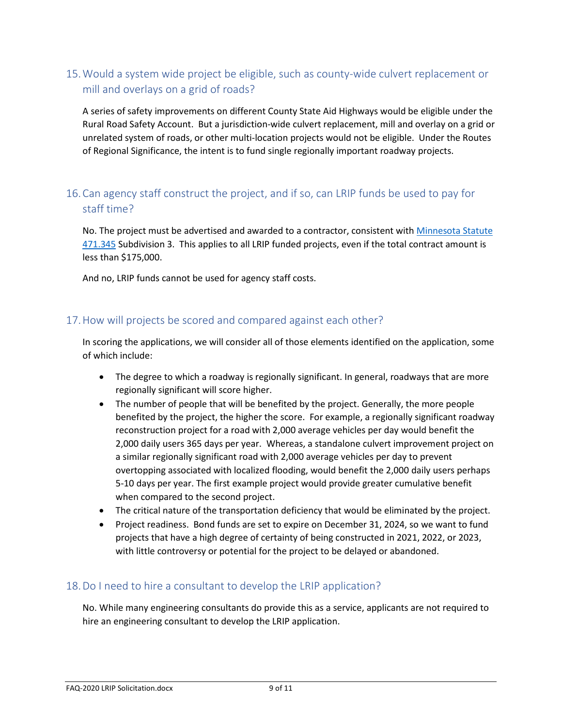# <span id="page-8-0"></span>15.Would a system wide project be eligible, such as county-wide culvert replacement or mill and overlays on a grid of roads?

A series of safety improvements on different County State Aid Highways would be eligible under the Rural Road Safety Account. But a jurisdiction-wide culvert replacement, mill and overlay on a grid or unrelated system of roads, or other multi-location projects would not be eligible. Under the Routes of Regional Significance, the intent is to fund single regionally important roadway projects.

# <span id="page-8-1"></span>16.Can agency staff construct the project, and if so, can LRIP funds be used to pay for staff time?

No. The project must be advertised and awarded to a contractor, consistent with [Minnesota Statute](https://www.revisor.mn.gov/statutes/cite/471.345)  [471.345](https://www.revisor.mn.gov/statutes/cite/471.345) Subdivision 3. This applies to all LRIP funded projects, even if the total contract amount is less than \$175,000.

And no, LRIP funds cannot be used for agency staff costs.

#### <span id="page-8-2"></span>17.How will projects be scored and compared against each other?

In scoring the applications, we will consider all of those elements identified on the application, some of which include:

- The degree to which a roadway is regionally significant. In general, roadways that are more regionally significant will score higher.
- The number of people that will be benefited by the project. Generally, the more people benefited by the project, the higher the score. For example, a regionally significant roadway reconstruction project for a road with 2,000 average vehicles per day would benefit the 2,000 daily users 365 days per year. Whereas, a standalone culvert improvement project on a similar regionally significant road with 2,000 average vehicles per day to prevent overtopping associated with localized flooding, would benefit the 2,000 daily users perhaps 5-10 days per year. The first example project would provide greater cumulative benefit when compared to the second project.
- The critical nature of the transportation deficiency that would be eliminated by the project.
- Project readiness. Bond funds are set to expire on December 31, 2024, so we want to fund projects that have a high degree of certainty of being constructed in 2021, 2022, or 2023, with little controversy or potential for the project to be delayed or abandoned.

#### <span id="page-8-3"></span>18.Do I need to hire a consultant to develop the LRIP application?

No. While many engineering consultants do provide this as a service, applicants are not required to hire an engineering consultant to develop the LRIP application.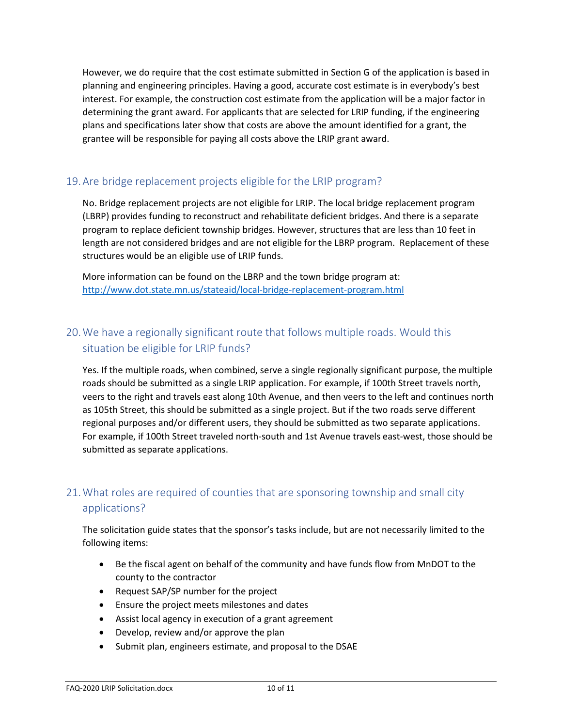However, we do require that the cost estimate submitted in Section G of the application is based in planning and engineering principles. Having a good, accurate cost estimate is in everybody's best interest. For example, the construction cost estimate from the application will be a major factor in determining the grant award. For applicants that are selected for LRIP funding, if the engineering plans and specifications later show that costs are above the amount identified for a grant, the grantee will be responsible for paying all costs above the LRIP grant award.

### <span id="page-9-0"></span>19.Are bridge replacement projects eligible for the LRIP program?

No. Bridge replacement projects are not eligible for LRIP. The local bridge replacement program (LBRP) provides funding to reconstruct and rehabilitate deficient bridges. And there is a separate program to replace deficient township bridges. However, structures that are less than 10 feet in length are not considered bridges and are not eligible for the LBRP program. Replacement of these structures would be an eligible use of LRIP funds.

More information can be found on the LBRP and the town bridge program at: <http://www.dot.state.mn.us/stateaid/local-bridge-replacement-program.html>

# <span id="page-9-1"></span>20.We have a regionally significant route that follows multiple roads. Would this situation be eligible for LRIP funds?

Yes. If the multiple roads, when combined, serve a single regionally significant purpose, the multiple roads should be submitted as a single LRIP application. For example, if 100th Street travels north, veers to the right and travels east along 10th Avenue, and then veers to the left and continues north as 105th Street, this should be submitted as a single project. But if the two roads serve different regional purposes and/or different users, they should be submitted as two separate applications. For example, if 100th Street traveled north-south and 1st Avenue travels east-west, those should be submitted as separate applications.

# <span id="page-9-2"></span>21.What roles are required of counties that are sponsoring township and small city applications?

The solicitation guide states that the sponsor's tasks include, but are not necessarily limited to the following items:

- Be the fiscal agent on behalf of the community and have funds flow from MnDOT to the county to the contractor
- Request SAP/SP number for the project
- Ensure the project meets milestones and dates
- Assist local agency in execution of a grant agreement
- Develop, review and/or approve the plan
- Submit plan, engineers estimate, and proposal to the DSAE